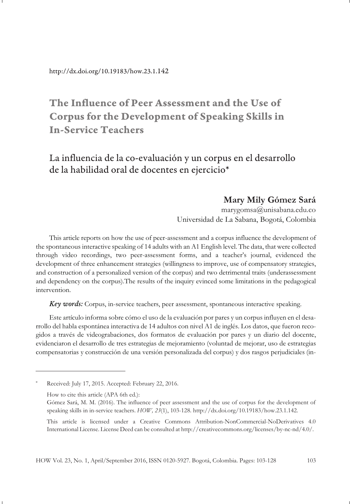# **The Influence of Peer Assessment and the Use of Corpus for the Development of Speaking Skills in In-Service Teachers**

La influencia de la co-evaluación y un corpus en el desarrollo de la habilidad oral de docentes en ejercicio\*

#### **Mary Mily Gómez Sará**

marygomsa@unisabana.edu.co Universidad de La Sabana, Bogotá, Colombia

This article reports on how the use of peer-assessment and a corpus influence the development of the spontaneous interactive speaking of 14 adults with an A1 English level. The data, that were collected through video recordings, two peer-assessment forms, and a teacher's journal, evidenced the development of three enhancement strategies (willingness to improve, use of compensatory strategies, and construction of a personalized version of the corpus) and two detrimental traits (underassessment and dependency on the corpus).The results of the inquiry evinced some limitations in the pedagogical intervention.

*Key words:* Corpus, in-service teachers, peer assessment, spontaneous interactive speaking.

Este artículo informa sobre cómo el uso de la evaluación por pares y un corpus influyen en el desarrollo del habla espontánea interactiva de 14 adultos con nivel A1 de inglés. Los datos, que fueron recogidos a través de videograbaciones, dos formatos de evaluación por pares y un diario del docente, evidenciaron el desarrollo de tres estrategias de mejoramiento (voluntad de mejorar, uso de estrategias compensatorias y construcción de una versión personalizada del corpus) y dos rasgos perjudiciales (in-

Received: July 17, 2015. Accepted: February 22, 2016.

How to cite this article (APA 6th ed.):

Gómez Sará, M. M. (2016). The influence of peer assessment and the use of corpus for the development of speaking skills in in-service teachers. *HOW, 23*(1), 103-128. http://dx.doi.org/10.19183/how.23.1.142.

This article is licensed under a Creative Commons Attribution-NonCommercial-NoDerivatives 4.0 International License. License Deed can be consulted at http://creativecommons.org/licenses/by-nc-nd/4.0/.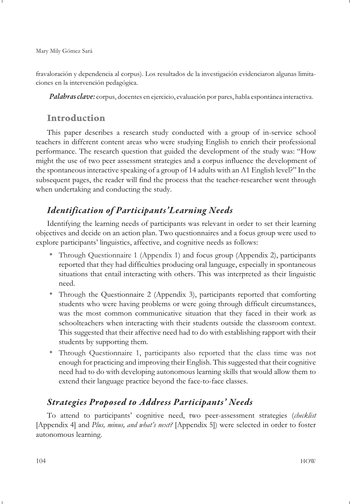fravaloración y dependencia al corpus). Los resultados de la investigación evidenciaron algunas limitaciones en la intervención pedagógica.

*Palabras clave:* corpus, docentes en ejercicio, evaluación por pares, habla espontánea interactiva.

# **Introduction**

This paper describes a research study conducted with a group of in-service school teachers in different content areas who were studying English to enrich their professional performance. The research question that guided the development of the study was: "How might the use of two peer assessment strategies and a corpus influence the development of the spontaneous interactive speaking of a group of 14 adults with an A1 English level?" In the subsequent pages, the reader will find the process that the teacher-researcher went through when undertaking and conducting the study.

# *Identification of Participants'Learning Needs*

Identifying the learning needs of participants was relevant in order to set their learning objectives and decide on an action plan. Two questionnaires and a focus group were used to explore participants' linguistics, affective, and cognitive needs as follows:

- Through Questionnaire 1 (Appendix 1) and focus group (Appendix 2), participants reported that they had difficulties producing oral language, especially in spontaneous situations that entail interacting with others. This was interpreted as their linguistic need.
- Through the Questionnaire 2 (Appendix 3), participants reported that comforting students who were having problems or were going through difficult circumstances, was the most common communicative situation that they faced in their work as schoolteachers when interacting with their students outside the classroom context. This suggested that their affective need had to do with establishing rapport with their students by supporting them.
- Through Questionnaire 1, participants also reported that the class time was not enough for practicing and improving their English. This suggested that their cognitive need had to do with developing autonomous learning skills that would allow them to extend their language practice beyond the face-to-face classes.

# *Strategies Proposed to Address Participants' Needs*

To attend to participants' cognitive need, two peer-assessment strategies (*checklist* [Appendix 4] and *Plus, minus, and what's next?* [Appendix 5]) were selected in order to foster autonomous learning.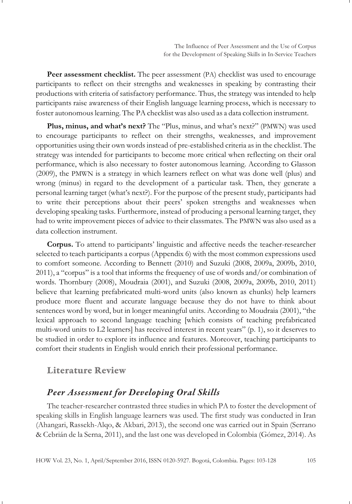**Peer assessment checklist.** The peer assessment (PA) checklist was used to encourage participants to reflect on their strengths and weaknesses in speaking by contrasting their productions with criteria of satisfactory performance. Thus, the strategy was intended to help participants raise awareness of their English language learning process, which is necessary to foster autonomous learning. The PA checklist was also used as a data collection instrument.

**Plus, minus, and what's next?** The "Plus, minus, and what's next?" (PMWN) was used to encourage participants to reflect on their strengths, weaknesses, and improvement opportunities using their own words instead of pre-established criteria as in the checklist. The strategy was intended for participants to become more critical when reflecting on their oral performance, which is also necessary to foster autonomous learning. According to Glasson (2009), the PMWN is a strategy in which learners reflect on what was done well (plus) and wrong (minus) in regard to the development of a particular task. Then, they generate a personal learning target (what's next?). For the purpose of the present study, participants had to write their perceptions about their peers' spoken strengths and weaknesses when developing speaking tasks. Furthermore, instead of producing a personal learning target, they had to write improvement pieces of advice to their classmates. The PMWN was also used as a data collection instrument.

**Corpus.** To attend to participants' linguistic and affective needs the teacher-researcher selected to teach participants a corpus (Appendix 6) with the most common expressions used to comfort someone. According to Bennett (2010) and Suzuki (2008, 2009a, 2009b, 2010, 2011), a "corpus" is a tool that informs the frequency of use of words and/or combination of words. Thornbury (2008), Moudraia (2001), and Suzuki (2008, 2009a, 2009b, 2010, 2011) believe that learning prefabricated multi-word units (also known as chunks) help learners produce more fluent and accurate language because they do not have to think about sentences word by word, but in longer meaningful units. According to Moudraia (2001), "the lexical approach to second language teaching [which consists of teaching prefabricated multi-word units to L2 learners] has received interest in recent years" (p. 1), so it deserves to be studied in order to explore its influence and features. Moreover, teaching participants to comfort their students in English would enrich their professional performance.

#### **Literature Review**

# *Peer Assessment for Developing Oral Skills*

The teacher-researcher contrasted three studies in which PA to foster the development of speaking skills in English language learners was used. The first study was conducted in Iran (Ahangari, Rassekh-Alqo, & Akbari, 2013), the second one was carried out in Spain (Serrano & Cebrián de la Serna, 2011), and the last one was developed in Colombia (Gómez, 2014). As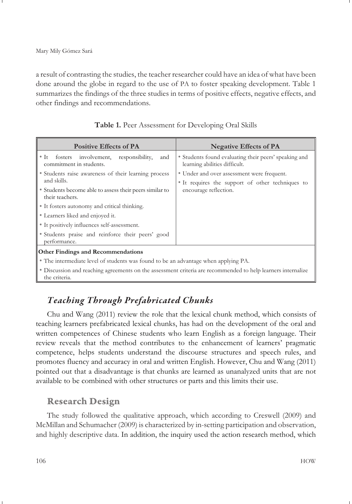Mary Mily Gómez Sará

a result of contrasting the studies, the teacher researcher could have an idea of what have been done around the globe in regard to the use of PA to foster speaking development. Table 1 summarizes the findings of the three studies in terms of positive effects, negative effects, and other findings and recommendations.

| <b>Positive Effects of PA</b>                                                                                | <b>Negative Effects of PA</b>                                                          |  |  |  |  |
|--------------------------------------------------------------------------------------------------------------|----------------------------------------------------------------------------------------|--|--|--|--|
| • It fosters involvement, responsibility,<br>and<br>commitment in students.                                  | • Students found evaluating their peers' speaking and<br>learning abilities difficult. |  |  |  |  |
| • Students raise awareness of their learning process                                                         | • Under and over assessment were frequent.                                             |  |  |  |  |
| and skills.                                                                                                  | • It requires the support of other techniques to                                       |  |  |  |  |
| • Students become able to assess their peers similar to<br>their teachers.                                   | encourage reflection.                                                                  |  |  |  |  |
| • It fosters autonomy and critical thinking.                                                                 |                                                                                        |  |  |  |  |
| • Learners liked and enjoyed it.                                                                             |                                                                                        |  |  |  |  |
| • It positively influences self-assessment.                                                                  |                                                                                        |  |  |  |  |
| • Students praise and reinforce their peers' good<br>performance.                                            |                                                                                        |  |  |  |  |
| <b>Other Findings and Recommendations</b>                                                                    |                                                                                        |  |  |  |  |
| • The intermediate level of students was found to be an advantage when applying PA.                          |                                                                                        |  |  |  |  |
| • Discussion and reaching agreements on the assessment criteria are recommended to help learners internalize |                                                                                        |  |  |  |  |

| Table 1. Peer Assessment for Developing Oral Skills |  |
|-----------------------------------------------------|--|
|-----------------------------------------------------|--|

# *Teaching Through Prefabricated Chunks*

Chu and Wang (2011) review the role that the lexical chunk method, which consists of teaching learners prefabricated lexical chunks, has had on the development of the oral and written competences of Chinese students who learn English as a foreign language. Their review reveals that the method contributes to the enhancement of learners' pragmatic competence, helps students understand the discourse structures and speech rules, and promotes fluency and accuracy in oral and written English. However, Chu and Wang (2011) pointed out that a disadvantage is that chunks are learned as unanalyzed units that are not available to be combined with other structures or parts and this limits their use.

# **Research Design**

the criteria.

The study followed the qualitative approach, which according to Creswell (2009) and McMillan and Schumacher (2009) is characterized by in-setting participation and observation, and highly descriptive data. In addition, the inquiry used the action research method, which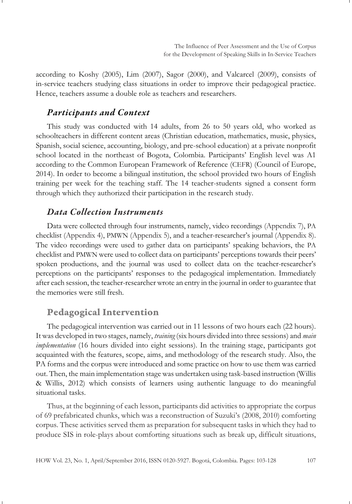according to Koshy (2005), Lim (2007), Sagor (2000), and Valcarcel (2009), consists of in-service teachers studying class situations in order to improve their pedagogical practice. Hence, teachers assume a double role as teachers and researchers.

#### *Participants and Context*

This study was conducted with 14 adults, from 26 to 50 years old, who worked as schoolteachers in different content areas (Christian education, mathematics, music, physics, Spanish, social science, accounting, biology, and pre-school education) at a private nonprofit school located in the northeast of Bogota, Colombia. Participants' English level was A1 according to the Common European Framework of Reference (CEFR) (Council of Europe, 2014). In order to become a bilingual institution, the school provided two hours of English training per week for the teaching staff. The 14 teacher-students signed a consent form through which they authorized their participation in the research study.

#### *Data Collection Instruments*

Data were collected through four instruments, namely, video recordings (Appendix 7), PA checklist (Appendix 4), PMWN (Appendix 5), and a teacher-researcher's journal (Appendix 8). The video recordings were used to gather data on participants' speaking behaviors, the PA checklist and PMWN were used to collect data on participants' perceptions towards their peers' spoken productions, and the journal was used to collect data on the teacher-researcher's perceptions on the participants' responses to the pedagogical implementation. Immediately after each session, the teacher-researcher wrote an entry in the journal in order to guarantee that the memories were still fresh.

## **Pedagogical Intervention**

The pedagogical intervention was carried out in 11 lessons of two hours each (22 hours). It was developed in two stages, namely, *training* (six hours divided into three sessions) and *main implementation* (16 hours divided into eight sessions). In the training stage, participants got acquainted with the features, scope, aims, and methodology of the research study. Also, the PA forms and the corpus were introduced and some practice on how to use them was carried out. Then, the main implementation stage was undertaken using task-based instruction (Willis & Willis, 2012) which consists of learners using authentic language to do meaningful situational tasks.

Thus, at the beginning of each lesson, participants did activities to appropriate the corpus of 69 prefabricated chunks, which was a reconstruction of Suzuki's (2008, 2010) comforting corpus. These activities served them as preparation for subsequent tasks in which they had to produce SIS in role-plays about comforting situations such as break up, difficult situations,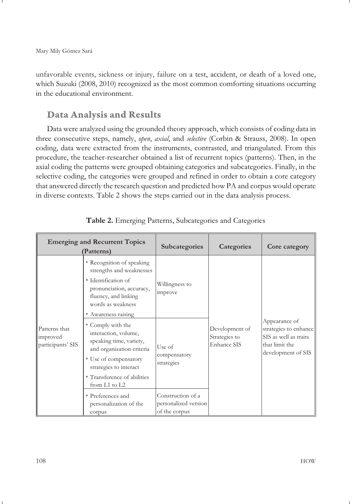unfavorable events, sickness or injury, failure on a test, accident, or death of a loved one, which Suzuki (2008, 2010) recognized as the most common comforting situations occurring in the educational environment.

# **Data Analysis and Results**

Data were analyzed using the grounded theory approach, which consists of coding data in three consecutive steps, namely, *open*, *axial*, and *selective* (Corbin & Strauss, 2008). In open coding, data were extracted from the instruments, contrasted, and triangulated. From this procedure, the teacher-researcher obtained a list of recurrent topics (patterns). Then, in the axial coding the patterns were grouped obtaining categories and subcategories. Finally, in the selective coding, the categories were grouped and refined in order to obtain a core category that answered directly the research question and predicted how PA and corpus would operate in diverse contexts. Table 2 shows the steps carried out in the data analysis process.

| <b>Emerging and Recurrent Topics</b><br>(Patterns) |                                                                                                                                                                                                      | Subcategories                                              | Categories                                     | Core category                                                                                           |
|----------------------------------------------------|------------------------------------------------------------------------------------------------------------------------------------------------------------------------------------------------------|------------------------------------------------------------|------------------------------------------------|---------------------------------------------------------------------------------------------------------|
|                                                    | • Recognition of speaking<br>strengths and weaknesses<br>• Identification of<br>pronunciation, accuracy,<br>fluency, and linking<br>words as weakness<br>• Awareness raising                         | Willingness to<br>improve                                  |                                                |                                                                                                         |
| Patterns that<br>improved<br>participants' SIS     | • Comply with the<br>interaction, volume,<br>speaking time, variety,<br>and organization criteria<br>• Use of compensatory<br>strategies to interact<br>• Transference of abilities<br>from L1 to L2 | Use of<br>compensatory<br>strategies                       | Development of<br>Strategies to<br>Enhance SIS | Appearance of<br>strategies to enhance<br>SIS as well as traits<br>that limit the<br>development of SIS |
|                                                    | • Preferences and<br>personalization of the<br>corpus                                                                                                                                                | Construction of a<br>personalized version<br>of the corpus |                                                |                                                                                                         |

|  |  |  | Table 2. Emerging Patterns, Subcategories and Categories |  |  |
|--|--|--|----------------------------------------------------------|--|--|
|--|--|--|----------------------------------------------------------|--|--|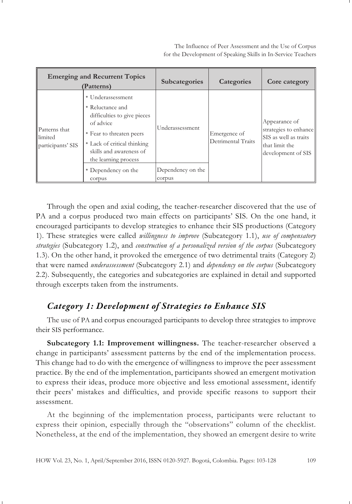The Influence of Peer Assessment and the Use of Corpus for the Development of Speaking Skills in In-Service Teachers

| <b>Emerging and Recurrent Topics</b><br>(Patterns) |                                                                                                                                                                                                                                  | <b>Subcategories</b>                           | Categories                         | Core category                                                                                           |
|----------------------------------------------------|----------------------------------------------------------------------------------------------------------------------------------------------------------------------------------------------------------------------------------|------------------------------------------------|------------------------------------|---------------------------------------------------------------------------------------------------------|
| Patterns that<br>llimited<br>participants' SIS     | • Underassessment<br>• Reluctance and<br>difficulties to give pieces<br>of advice<br>• Fear to threaten peers<br>• Lack of critical thinking<br>skills and awareness of<br>the learning process<br>• Dependency on the<br>corpus | Underassessment<br>Dependency on the<br>corpus | Emergence of<br>Detrimental Traits | Appearance of<br>strategies to enhance<br>SIS as well as traits<br>that limit the<br>development of SIS |

Through the open and axial coding, the teacher-researcher discovered that the use of PA and a corpus produced two main effects on participants' SIS. On the one hand, it encouraged participants to develop strategies to enhance their SIS productions (Category 1). These strategies were called *willingness to improve* (Subcategory 1.1), *use of compensatory strategies* (Subcategory 1.2), and *construction of a personalized version of the corpus* (Subcategory 1.3). On the other hand, it provoked the emergence of two detrimental traits (Category 2) that were named *underassessment* (Subcategory 2.1) and *dependency on the corpus* (Subcategory 2.2). Subsequently, the categories and subcategories are explained in detail and supported through excerpts taken from the instruments.

# *Category 1: Development of Strategies to Enhance SIS*

The use of PA and corpus encouraged participants to develop three strategies to improve their SIS performance.

**Subcategory 1.1: Improvement willingness.** The teacher-researcher observed a change in participants' assessment patterns by the end of the implementation process. This change had to do with the emergence of willingness to improve the peer assessment practice. By the end of the implementation, participants showed an emergent motivation to express their ideas, produce more objective and less emotional assessment, identify their peers' mistakes and difficulties, and provide specific reasons to support their assessment.

At the beginning of the implementation process, participants were reluctant to express their opinion, especially through the "observations" column of the checklist. Nonetheless, at the end of the implementation, they showed an emergent desire to write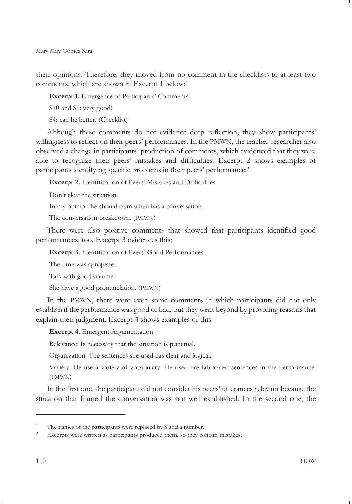their opinions. Therefore, they moved from no comment in the checklists to at least two comments, which are shown in Excerpt 1 below:1

**Excerpt 1.** Emergence of Participants' Comments

S10 and S9: very good!

S4: can be better. (Checklist)

Although these comments do not evidence deep reflection, they show participants' willingness to reflect on their peers' performances. In the PMWN, the teacher-researcher also observed a change in participants' production of comments, which evidenced that they were able to recognize their peers' mistakes and difficulties. Excerpt 2 shows examples of participants identifying specific problems in their peers' performance:<sup>2</sup>

**Excerpt 2.** Identification of Peers' Mistakes and Difficulties

Don't clear the situation.

In my opinion he should calm when has a conversation.

The conversation breakdown. (PMWN)

There were also positive comments that showed that participants identified good performances, too. Excerpt 3 evidences this:

**Excerpt 3.** Identification of Peers' Good Performances

The time was apropiate.

Talk with good volume.

She have a good pronunciation. (PMWN)

In the PMWN, there were even some comments in which participants did not only establish if the performance was good or bad, but they went beyond by providing reasons that explain their judgment. Excerpt 4 shows examples of this:

**Excerpt 4.** Emergent Argumentation

Relevance: Is necessary that the situation is punctual.

Organization: The sentences she used has clear and logical.

Variety: He use a variety of vocabulary. He used pre-fabricated sentences in the performance. (PMWN)

In the first one, the participant did not consider his peers' utterances relevant because the situation that framed the conversation was not well established. In the second one, the

<sup>1</sup> The names of the participants were replaced by S and a number.

<sup>2</sup> Excerpts were written as participants produced them, so they contain mistakes.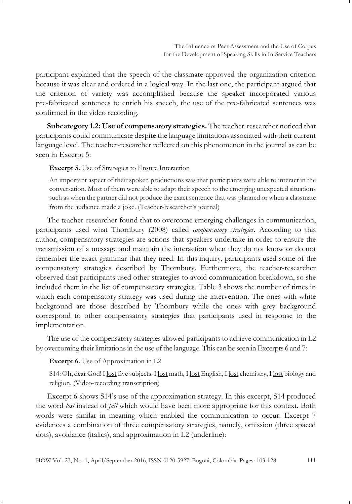participant explained that the speech of the classmate approved the organization criterion because it was clear and ordered in a logical way. In the last one, the participant argued that the criterion of variety was accomplished because the speaker incorporated various pre-fabricated sentences to enrich his speech, the use of the pre-fabricated sentences was confirmed in the video recording.

**Subcategory 1.2: Use of compensatory strategies.** The teacher-researcher noticed that participants could communicate despite the language limitations associated with their current language level. The teacher-researcher reflected on this phenomenon in the journal as can be seen in Excerpt 5:

**Excerpt 5.** Use of Strategies to Ensure Interaction

An important aspect of their spoken productions was that participants were able to interact in the conversation. Most of them were able to adapt their speech to the emerging unexpected situations such as when the partner did not produce the exact sentence that was planned or when a classmate from the audience made a joke. (Teacher-researcher's journal)

The teacher-researcher found that to overcome emerging challenges in communication, participants used what Thornbury (2008) called *compensatory strategies*. According to this author, compensatory strategies are actions that speakers undertake in order to ensure the transmission of a message and maintain the interaction when they do not know or do not remember the exact grammar that they need. In this inquiry, participants used some of the compensatory strategies described by Thornbury. Furthermore, the teacher-researcher observed that participants used other strategies to avoid communication breakdown, so she included them in the list of compensatory strategies. Table 3 shows the number of times in which each compensatory strategy was used during the intervention. The ones with white background are those described by Thornbury while the ones with grey background correspond to other compensatory strategies that participants used in response to the implementation.

The use of the compensatory strategies allowed participants to achieve communication in L2 by overcoming their limitations in the use of the language. This can be seen in Excerpts 6 and 7:

**Excerpt 6.** Use of Approximation in L2

S14: Oh, dear God! I lost five subjects. I lost math, I lost English, I lost chemistry, I lost biology and religion. (Video-recording transcription)

Excerpt 6 shows S14's use of the approximation strategy. In this excerpt, S14 produced the word *lost* instead of *fail* which would have been more appropriate for this context. Both words were similar in meaning which enabled the communication to occur. Excerpt 7 evidences a combination of three compensatory strategies, namely, omission (three spaced dots), avoidance (italics), and approximation in L2 (underline):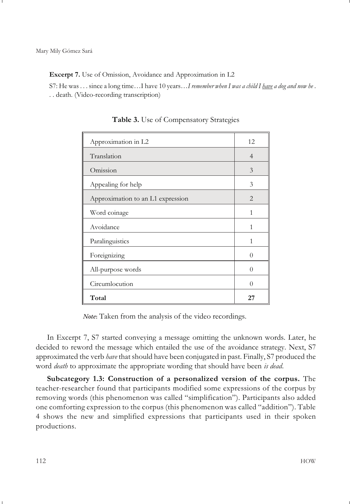**Excerpt 7.** Use of Omission, Avoidance and Approximation in L2

S7: He was . . . since a long time…I have 10 years…*I remember when I was a child I have a dog and now he* . . . death. (Video-recording transcription)

| Approximation in L2               | 12       |
|-----------------------------------|----------|
| Translation                       | 4        |
| Omission                          | 3        |
| Appealing for help                | 3        |
| Approximation to an L1 expression | 2        |
| Word coinage                      | 1        |
| Avoidance                         | 1        |
| Paralinguistics                   | 1        |
| Foreignizing                      | $\Omega$ |
| All-purpose words                 | 0        |
| Circumlocution                    | 0        |
| Total                             | 27       |

**Table 3.** Use of Compensatory Strategies

*Note***:** Taken from the analysis of the video recordings.

In Excerpt 7, S7 started conveying a message omitting the unknown words. Later, he decided to reword the message which entailed the use of the avoidance strategy. Next, S7 approximated the verb *have* that should have been conjugated in past. Finally, S7 produced the word *death* to approximate the appropriate wording that should have been *is dead*.

**Subcategory 1.3: Construction of a personalized version of the corpus.** The teacher-researcher found that participants modified some expressions of the corpus by removing words (this phenomenon was called "simplification"). Participants also added one comforting expression to the corpus (this phenomenon was called "addition"). Table 4 shows the new and simplified expressions that participants used in their spoken productions.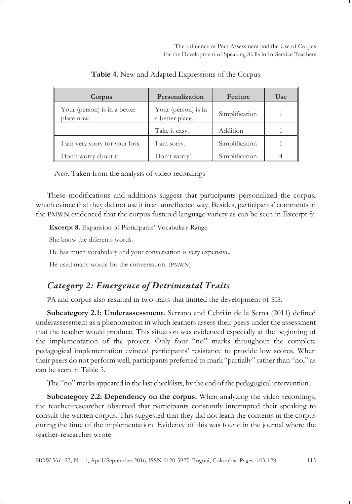| Corpus                                     | Personalization                        | Feature        | Use |
|--------------------------------------------|----------------------------------------|----------------|-----|
| Your (person) is in a better<br>place now. | Your (person) is in<br>a better place. | Simplification |     |
|                                            | Take it easy.                          | Addition       |     |
| I am very sorry for your loss.             | I am sorry.                            | Simplification |     |
| Don't worry about it!                      | Don't worry!                           | Simplification |     |

**Table 4.** New and Adapted Expressions of the Corpus

*Note:* Taken from the analysis of video recordings

These modifications and additions suggest that participants personalized the corpus, which evince that they did not use it in an unreflected way. Besides, participants' comments in the PMWN evidenced that the corpus fostered language variety as can be seen in Excerpt 8:

**Excerpt 8.** Expansion of Participants' Vocabulary Range

She know the diferents words.

He has much vocabulary and your conversation is very expensive.

He used many words for the conversation. (PMWN)

# *Category 2: Emergence of Detrimental Traits*

PA and corpus also resulted in two traits that limited the development of SIS.

**Subcategory 2.1: Underassessment.** Serrano and Cebrián de la Serna (2011) defined underassessment as a phenomenon in which learners assess their peers under the assessment that the teacher would produce. This situation was evidenced especially at the beginning of the implementation of the project. Only four "no" marks throughout the complete pedagogical implementation evinced participants' resistance to provide low scores. When their peers do not perform well, participants preferred to mark "partially" rather than "no," as can be seen in Table 5.

The "no" marks appeared in the last checklists, by the end of the pedagogical intervention.

**Subcategory 2.2: Dependency on the corpus.** When analyzing the video recordings, the teacher-researcher observed that participants constantly interrupted their speaking to consult the written corpus. This suggested that they did not learn the contents in the corpus during the time of the implementation. Evidence of this was found in the journal where the teacher-researcher wrote: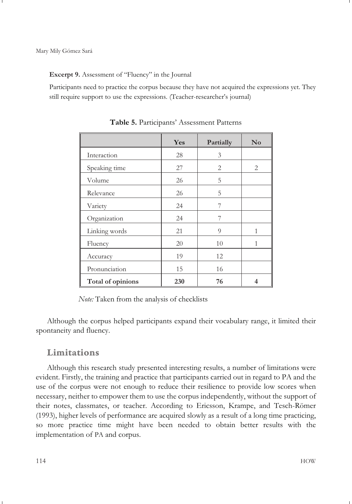#### **Excerpt 9.** Assessment of "Fluency" in the Journal

Participants need to practice the corpus because they have not acquired the expressions yet. They still require support to use the expressions. (Teacher-researcher's journal)

|                   | Yes | Partially | $\mathbf{N}\mathbf{o}$ |
|-------------------|-----|-----------|------------------------|
| Interaction       | 28  | 3         |                        |
| Speaking time     | 27  | 2         | 2                      |
| Volume            | 26  | 5         |                        |
| Relevance         | 26  | 5         |                        |
| Variety           | 24  | 7         |                        |
| Organization      | 24  | 7         |                        |
| Linking words     | 21  | 9         | 1                      |
| Fluency           | 20  | 10        | 1                      |
| Accuracy          | 19  | 12        |                        |
| Pronunciation     | 15  | 16        |                        |
| Total of opinions | 230 | 76        | 4                      |

**Table 5.** Participants' Assessment Patterns

*Note:* Taken from the analysis of checklists

Although the corpus helped participants expand their vocabulary range, it limited their spontaneity and fluency.

#### **Limitations**

Although this research study presented interesting results, a number of limitations were evident. Firstly, the training and practice that participants carried out in regard to PA and the use of the corpus were not enough to reduce their resilience to provide low scores when necessary, neither to empower them to use the corpus independently, without the support of their notes, classmates, or teacher. According to Ericsson, Krampe, and Tesch-Römer (1993), higher levels of performance are acquired slowly as a result of a long time practicing, so more practice time might have been needed to obtain better results with the implementation of PA and corpus.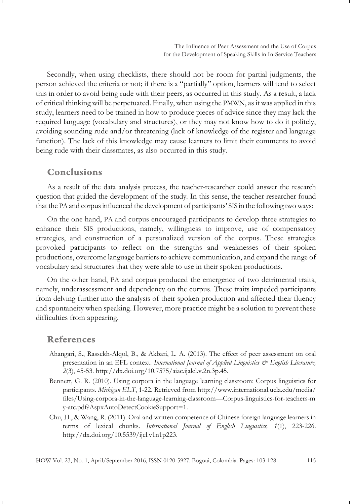Secondly, when using checklists, there should not be room for partial judgments, the person achieved the criteria or not; if there is a "partially" option, learners will tend to select this in order to avoid being rude with their peers, as occurred in this study. As a result, a lack of critical thinking will be perpetuated. Finally, when using the PMWN, as it was applied in this study, learners need to be trained in how to produce pieces of advice since they may lack the required language (vocabulary and structures), or they may not know how to do it politely, avoiding sounding rude and/or threatening (lack of knowledge of the register and language function). The lack of this knowledge may cause learners to limit their comments to avoid being rude with their classmates, as also occurred in this study.

## **Conclusions**

As a result of the data analysis process, the teacher-researcher could answer the research question that guided the development of the study. In this sense, the teacher-researcher found that the PA and corpus influenced the development of participants' SIS in the following two ways:

On the one hand, PA and corpus encouraged participants to develop three strategies to enhance their SIS productions, namely, willingness to improve, use of compensatory strategies, and construction of a personalized version of the corpus. These strategies provoked participants to reflect on the strengths and weaknesses of their spoken productions, overcome language barriers to achieve communication, and expand the range of vocabulary and structures that they were able to use in their spoken productions.

On the other hand, PA and corpus produced the emergence of two detrimental traits, namely, underassessment and dependency on the corpus. These traits impeded participants from delving further into the analysis of their spoken production and affected their fluency and spontaneity when speaking. However, more practice might be a solution to prevent these difficulties from appearing.

#### **References**

- Ahangari, S., Rassekh-Alqol, B., & Akbari, L. A. (2013). The effect of peer assessment on oral presentation in an EFL context. *International Journal of Applied Linguistics & English Literature*, *2*(3), 45-53. http://dx.doi.org/10.7575/aiac.ijalel.v.2n.3p.45.
- Bennett, G. R. (2010). Using corpora in the language learning classroom: Corpus linguistics for participants. *Michigan ELT*, 1-22. Retrieved from http://www.international.ucla.edu/media/ files/Using-corpora-in-the-language-learning-classroom—Corpus-linguistics-for-teachers-m y-atc.pdf?AspxAutoDetectCookieSupport=1.
- Chu, H., & Wang, R. (2011). Oral and written competence of Chinese foreign language learners in terms of lexical chunks. *International Journal of English Linguistics, 1*(1), 223-226. http://dx.doi.org/10.5539/ijel.v1n1p223.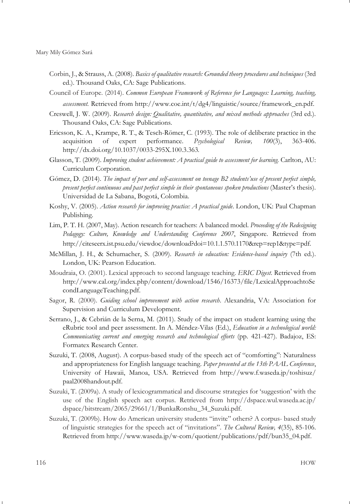- Corbin, J., & Strauss, A. (2008). *Basics of qualitative research: Grounded theory procedures and techniques* (3rd ed.). Thousand Oaks, CA: Sage Publications.
- Council of Europe. (2014). *Common European Framework of Reference for Languages: Learning, teaching, assessment.* Retrieved from http://www.coe.int/t/dg4/linguistic/source/framework\_en.pdf.
- Creswell, J. W. (2009). *Research design: Qualitative, quantitative, and mixed methods approaches* (3rd ed.)*.* Thousand Oaks, CA: Sage Publications.
- Ericsson, K. A., Krampe, R. T., & Tesch-Römer, C. (1993). The role of deliberate practice in the acquisition of expert performance. *Psychological Review, 100*(3), 363-406. http://dx.doi.org/10.1037/0033-295X.100.3.363.
- Glasson, T. (2009). *Improving student achievement: A practical guide to assessment for learning.* Carlton, AU: Curriculum Corporation.
- Gómez, D. (2014). *The impact of peer and self-assessment on teenage B2 students'use of present perfect simple, present perfect continuous and past perfect simple in their spontaneous spoken productions* (Master's thesis). Universidad de La Sabana, Bogotá, Colombia.
- Koshy, V. (2005). *Action research for improving practice: A practical guide*. London, UK: Paul Chapman Publishing.
- Lim, P. T. H. (2007, May). Action research for teachers: A balanced model. *Proceeding of the Redesigning Pedagogy: Culture, Knowledge and Understanding Conference 2007*, Singapore. Retrieved from http://citeseerx.ist.psu.edu/viewdoc/download?doi=10.1.1.570.1170&rep=rep1&type=pdf.
- McMillan, J. H., & Schumacher, S. (2009). *Research in education: Evidence-based inquiry* (7th ed.). London, UK: Pearson Education.
- Moudraia, O. (2001). Lexical approach to second language teaching. *ERIC Digest*. Retrieved from http://www.cal.org/index.php/content/download/1546/16373/file/LexicalApproachtoSe condLanguageTeaching.pdf.
- Sagor, R. (2000). *Guiding school improvement with action research*. Alexandria, VA: Association for Supervision and Curriculum Development.
- Serrano, J., & Cebrián de la Serna, M. (2011). Study of the impact on student learning using the eRubric tool and peer assessment. In A. Méndez-Vilas (Ed.), *Education in a technological world: Communicating current and emerging research and technological efforts* (pp. 421-427). Badajoz, ES: Formatex Research Center.
- Suzuki, T. (2008, August). A corpus-based study of the speech act of "comforting": Naturalness and appropriateness for English language teaching. *Paper presented at the 13th PAAL Conference*, University of Hawaii, Manoa, USA. Retrieved from http://www.f.waseda.jp/toshisuz/ paal2008handout.pdf.
- Suzuki, T. (2009a). A study of lexicogrammatical and discourse strategies for 'suggestion' with the use of the English speech act corpus. Retrieved from http://dspace.wul.waseda.ac.jp/ dspace/bitstream/2065/29661/1/BunkaRonshu\_34\_Suzuki.pdf.
- Suzuki, T. (2009b). How do American university students "invite" others? A corpus- based study of linguistic strategies for the speech act of "invitations". *The Cultural Review, 4*(35), 85-106. Retrieved from http://www.waseda.jp/w-com/quotient/publications/pdf/bun35\_04.pdf.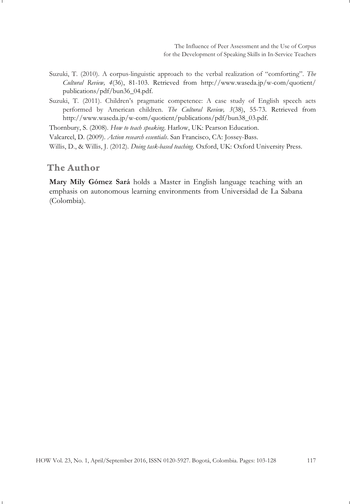- Suzuki, T. (2010). A corpus-linguistic approach to the verbal realization of "comforting". *The Cultural Review, 4*(36), 81-103. Retrieved from http://www.waseda.jp/w-com/quotient/ publications/pdf/bun36\_04.pdf.
- Suzuki, T. (2011). Children's pragmatic competence: A case study of English speech acts performed by American children. *The Cultural Review, 3*(38), 55-73. Retrieved from http://www.waseda.jp/w-com/quotient/publications/pdf/bun38\_03.pdf.

Thornbury, S. (2008). *How to teach speaking*. Harlow, UK: Pearson Education.

Valcarcel, D. (2009). *Action research essentials*. San Francisco, CA: Jossey-Bass.

Willis, D., & Willis, J. (2012). *Doing task-based teaching*. Oxford, UK: Oxford University Press.

## **The Author**

**Mary Mily Gómez Sará** holds a Master in English language teaching with an emphasis on autonomous learning environments from Universidad de La Sabana (Colombia).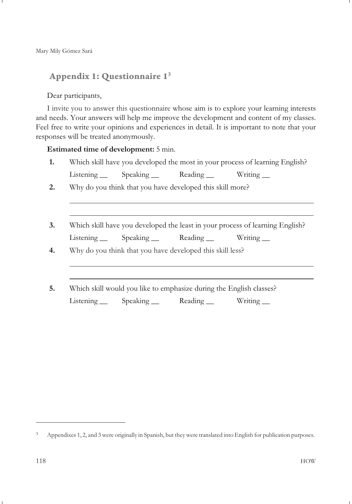# **Appendix 1: Questionnaire 13**

#### Dear participants,

I invite you to answer this questionnaire whose aim is to explore your learning interests and needs. Your answers will help me improve the development and content of my classes. Feel free to write your opinions and experiences in detail. It is important to note that your responses will be treated anonymously.

#### **Estimated time of development:** 5 min.

- **1.** Which skill have you developed the most in your process of learning English? Listening \_\_ Speaking \_\_ Reading \_\_ Writing \_\_
- **2.** Why do you think that you have developed this skill more?
- **3.** Which skill have you developed the least in your process of learning English? Listening Speaking Reading Writing
- 
- **4.** Why do you think that you have developed this skill less?
- **5.** Which skill would you like to emphasize during the English classes? Listening Speaking Reading Writing

<sup>3</sup> Appendixes 1, 2, and 3 were originally in Spanish, but they were translated into English for publication purposes.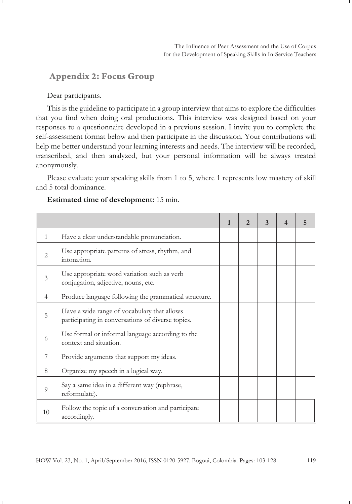## **Appendix 2: Focus Group**

Dear participants.

This is the guideline to participate in a group interview that aims to explore the difficulties that you find when doing oral productions. This interview was designed based on your responses to a questionnaire developed in a previous session. I invite you to complete the self-assessment format below and then participate in the discussion. Your contributions will help me better understand your learning interests and needs. The interview will be recorded, transcribed, and then analyzed, but your personal information will be always treated anonymously.

Please evaluate your speaking skills from 1 to 5, where 1 represents low mastery of skill and 5 total dominance.

|                |                                                                                                  | $\mathbf{1}$ | $\mathcal{D}$ | 3 | 4 | 5 |
|----------------|--------------------------------------------------------------------------------------------------|--------------|---------------|---|---|---|
| $\mathbf{1}$   | Have a clear understandable pronunciation.                                                       |              |               |   |   |   |
| $\overline{2}$ | Use appropriate patterns of stress, rhythm, and<br>intonation.                                   |              |               |   |   |   |
| 3              | Use appropriate word variation such as verb<br>conjugation, adjective, nouns, etc.               |              |               |   |   |   |
| $\overline{4}$ | Produce language following the grammatical structure.                                            |              |               |   |   |   |
| 5              | Have a wide range of vocabulary that allows<br>participating in conversations of diverse topics. |              |               |   |   |   |
| 6              | Use formal or informal language according to the<br>context and situation.                       |              |               |   |   |   |
| 7              | Provide arguments that support my ideas.                                                         |              |               |   |   |   |
| 8              | Organize my speech in a logical way.                                                             |              |               |   |   |   |
| 9              | Say a same idea in a different way (rephrase,<br>reformulate).                                   |              |               |   |   |   |
| 10             | Follow the topic of a conversation and participate<br>accordingly.                               |              |               |   |   |   |

#### **Estimated time of development:** 15 min.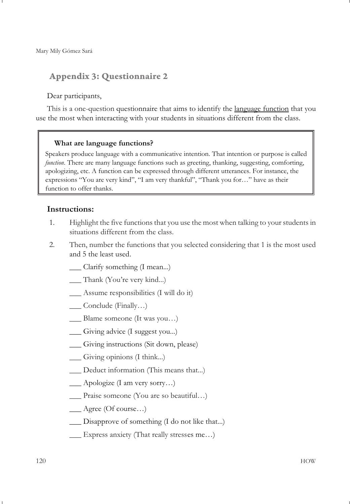# **Appendix 3: Questionnaire 2**

#### Dear participants,

This is a one-question questionnaire that aims to identify the language function that you use the most when interacting with your students in situations different from the class.

#### **What are language functions?**

Speakers produce language with a communicative intention. That intention or purpose is called *function*. There are many language functions such as greeting, thanking, suggesting, comforting, apologizing, etc. A function can be expressed through different utterances. For instance, the expressions "You are very kind", "I am very thankful", "Thank you for…" have as their function to offer thanks.

#### **Instructions:**

- 1. Highlight the five functions that you use the most when talking to your students in situations different from the class.
- 2. Then, number the functions that you selected considering that 1 is the most used and 5 the least used.
	- \_\_\_ Clarify something (I mean...)
	- \_\_\_ Thank (You're very kind...)
	- \_\_\_ Assume responsibilities (I will do it)
	- \_\_\_ Conclude (Finally…)
	- Blame someone (It was you...)
	- \_\_\_ Giving advice (I suggest you...)
	- \_\_\_ Giving instructions (Sit down, please)
	- \_\_\_ Giving opinions (I think...)
	- \_\_\_ Deduct information (This means that...)
	- \_\_\_ Apologize (I am very sorry…)
	- \_\_\_ Praise someone (You are so beautiful…)
	- \_\_\_ Agree (Of course…)
	- \_\_\_ Disapprove of something (I do not like that...)
	- \_\_\_ Express anxiety (That really stresses me…)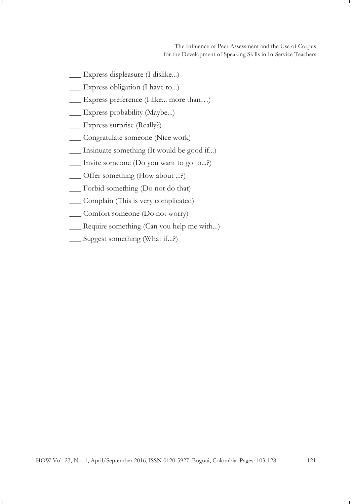The Influence of Peer Assessment and the Use of Corpus for the Development of Speaking Skills in In-Service Teachers

- \_\_\_ Express displeasure (I dislike...)
- \_\_\_ Express obligation (I have to...)
- \_\_\_ Express preference (I like... more than…)
- \_\_\_ Express probability (Maybe...)
- \_\_\_ Express surprise (Really?)
- \_\_\_ Congratulate someone (Nice work)
- \_\_\_ Insinuate something (It would be good if...)
- \_\_\_ Invite someone (Do you want to go to...?)
- \_\_\_ Offer something (How about ...?)
- \_\_\_ Forbid something (Do not do that)
- \_\_\_ Complain (This is very complicated)
- \_\_\_ Comfort someone (Do not worry)
- \_\_\_ Require something (Can you help me with...)
- \_\_\_ Suggest something (What if...?)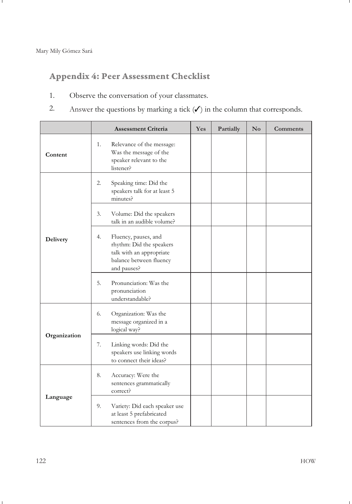# **Appendix 4: Peer Assessment Checklist**

- 1. Observe the conversation of your classmates.
- 2. Answer the questions by marking a tick  $(\checkmark)$  in the column that corresponds.

|              | <b>Assessment Criteria</b>                                                                                                   | <b>Yes</b> | Partially | $\mathbf{N}\mathbf{o}$ | Comments |
|--------------|------------------------------------------------------------------------------------------------------------------------------|------------|-----------|------------------------|----------|
| Content      | 1.<br>Relevance of the message:<br>Was the message of the<br>speaker relevant to the<br>listener?                            |            |           |                        |          |
|              | 2.<br>Speaking time: Did the<br>speakers talk for at least 5<br>minutes?                                                     |            |           |                        |          |
|              | 3.<br>Volume: Did the speakers<br>talk in an audible volume?                                                                 |            |           |                        |          |
| Delivery     | 4.<br>Fluency, pauses, and<br>rhythm: Did the speakers<br>talk with an appropriate<br>balance between fluency<br>and pauses? |            |           |                        |          |
|              | 5.<br>Pronunciation: Was the<br>pronunciation<br>understandable?                                                             |            |           |                        |          |
|              | 6.<br>Organization: Was the<br>message organized in a<br>logical way?                                                        |            |           |                        |          |
| Organization | 7.<br>Linking words: Did the<br>speakers use linking words<br>to connect their ideas?                                        |            |           |                        |          |
|              | 8.<br>Accuracy: Were the<br>sentences grammatically<br>correct?                                                              |            |           |                        |          |
| Language     | 9.<br>Variety: Did each speaker use<br>at least 5 prefabricated<br>sentences from the corpus?                                |            |           |                        |          |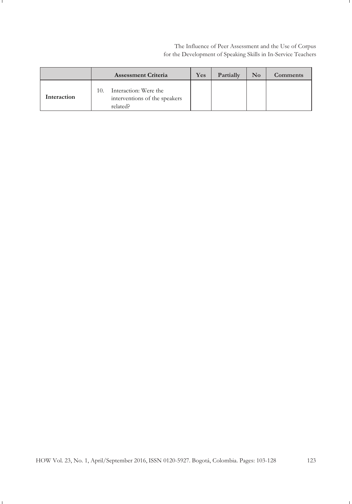The Influence of Peer Assessment and the Use of Corpus for the Development of Speaking Skills in In-Service Teachers

|             | <b>Assessment Criteria</b>                                                | Yes | Partially | $\mathbf{N}\mathbf{o}$ | <b>Comments</b> |
|-------------|---------------------------------------------------------------------------|-----|-----------|------------------------|-----------------|
| Interaction | Interaction: Were the<br>10.<br>interventions of the speakers<br>related? |     |           |                        |                 |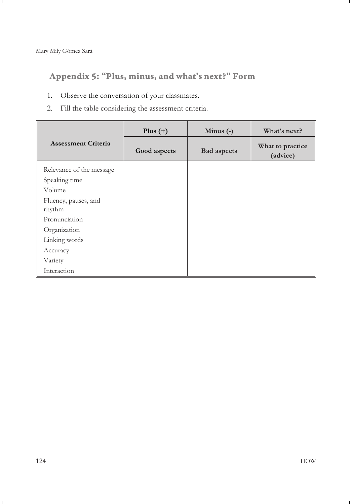**Appendix 5: "Plus, minus, and what's next?" Form**

- 1. Observe the conversation of your classmates.
- 2. Fill the table considering the assessment criteria.

|                                | Plus $(+)$   | Minus $(-)$        | What's next?                 |
|--------------------------------|--------------|--------------------|------------------------------|
| <b>Assessment Criteria</b>     | Good aspects | <b>Bad</b> aspects | What to practice<br>(advice) |
| Relevance of the message       |              |                    |                              |
| Speaking time                  |              |                    |                              |
| Volume                         |              |                    |                              |
| Fluency, pauses, and<br>rhythm |              |                    |                              |
| Pronunciation                  |              |                    |                              |
| Organization                   |              |                    |                              |
| Linking words                  |              |                    |                              |
| Accuracy                       |              |                    |                              |
| Variety                        |              |                    |                              |
| Interaction                    |              |                    |                              |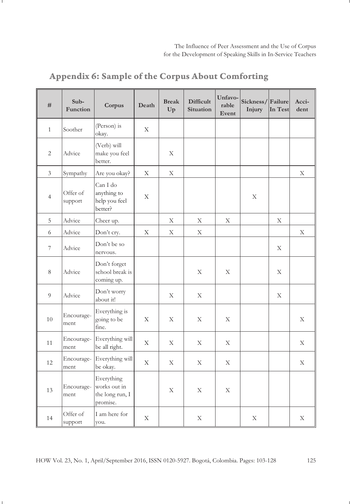| #                        | Sub-<br>Function    | Corpus                                                    | Death       | <b>Break</b><br>Up | <b>Difficult</b><br><b>Situation</b> | Unfavo-<br>rable<br>Event | Sickness/Failure<br>Injury | In Test | Acci-<br>dent |
|--------------------------|---------------------|-----------------------------------------------------------|-------------|--------------------|--------------------------------------|---------------------------|----------------------------|---------|---------------|
| $\mathbf{1}$             | Soother             | (Person) is<br>okay.                                      | X           |                    |                                      |                           |                            |         |               |
| $\overline{2}$           | Advice              | (Verb) will<br>make you feel<br>better.                   |             | Χ                  |                                      |                           |                            |         |               |
| $\mathfrak{Z}$           | Sympathy            | Are you okay?                                             | X           | X                  |                                      |                           |                            |         | X             |
| $\overline{4}$           | Offer of<br>support | Can I do<br>anything to<br>help you feel<br>better?       | X           |                    |                                      |                           | X                          |         |               |
| 5                        | Advice              | Cheer up.                                                 |             | X                  | X                                    | X                         |                            | X       |               |
| 6                        | Advice              | Don't cry.                                                | $\mathbf X$ | X                  | X                                    |                           |                            |         | X             |
| $\overline{\phantom{a}}$ | Advice              | Don't be so<br>nervous.                                   |             |                    |                                      |                           |                            | X       |               |
| 8                        | Advice              | Don't forget<br>school break is<br>coming up.             |             |                    | X                                    | X                         |                            | X       |               |
| 9                        | Advice              | Don't worry<br>about it!                                  |             | X                  | X                                    |                           |                            | X       |               |
| 10                       | Encourage-<br>ment  | Everything is<br>going to be<br>fine.                     | X           | X                  | X                                    | X                         |                            |         | X             |
| 11                       | Encourage-<br>ment  | Everything will<br>be all right.                          | X           | X                  | X                                    | X                         |                            |         | X             |
| 12                       | Encourage-<br>ment  | Everything will<br>be okay.                               | $\mathbf X$ | X                  | X                                    | X                         |                            |         | X             |
| 13                       | Encourage-<br>ment  | Everything<br>works out in<br>the long run, I<br>promise. |             | X                  | X                                    | X                         |                            |         |               |
| 14                       | Offer of<br>support | I am here for<br>you.                                     | $\mathbf X$ |                    | X                                    |                           | X                          |         | X             |

# **Appendix 6: Sample of the Corpus About Comforting**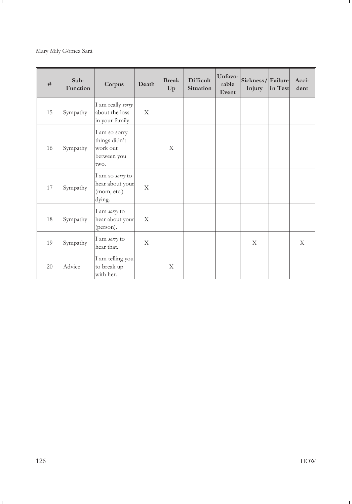#### Mary Mily Gómez Sará

| #  | $Sub-$<br><b>Function</b> | Corpus                                                            | Death | <b>Break</b><br>Up | <b>Difficult</b><br><b>Situation</b> | Unfavo-<br>rable<br>Event | Sickness/Failure<br>Injury | In Test | Acci-<br>dent |
|----|---------------------------|-------------------------------------------------------------------|-------|--------------------|--------------------------------------|---------------------------|----------------------------|---------|---------------|
| 15 | Sympathy                  | I am really sorry<br>about the loss<br>in your family.            | X     |                    |                                      |                           |                            |         |               |
| 16 | Sympathy                  | I am so sorry<br>things didn't<br>work out<br>between you<br>two. |       | X                  |                                      |                           |                            |         |               |
| 17 | Sympathy                  | I am so sorry to<br>hear about your<br>(mom, etc.)<br>dying.      | X     |                    |                                      |                           |                            |         |               |
| 18 | Sympathy                  | I am sorry to<br>hear about your<br>(person).                     | X     |                    |                                      |                           |                            |         |               |
| 19 | Sympathy                  | I am sorry to<br>hear that.                                       | X     |                    |                                      |                           | X                          |         | X             |
| 20 | Advice                    | I am telling you<br>to break up<br>with her.                      |       | X                  |                                      |                           |                            |         |               |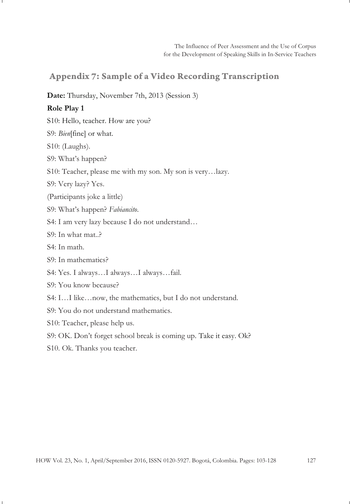# **Appendix 7: Sample of a Video Recording Transcription**

#### **Date:** Thursday, November 7th, 2013 (Session 3)

#### **Role Play 1**

S10: Hello, teacher. How are you?

S9: *Bien*[fine] or what.

S10: (Laughs).

S9: What's happen?

S10: Teacher, please me with my son. My son is very…lazy.

S9: Very lazy? Yes.

(Participants joke a little)

S9: What's happen? *Fabiancito*.

S4: I am very lazy because I do not understand…

S9: In what mat..?

S4: In math.

S9: In mathematics?

S4: Yes. I always…I always…I always…fail.

S9: You know because?

S4: I…I like…now, the mathematics, but I do not understand.

S9: You do not understand mathematics.

S10: Teacher, please help us.

S9: OK. Don't forget school break is coming up*.* Take it easy. Ok?

S10. Ok. Thanks you teacher.